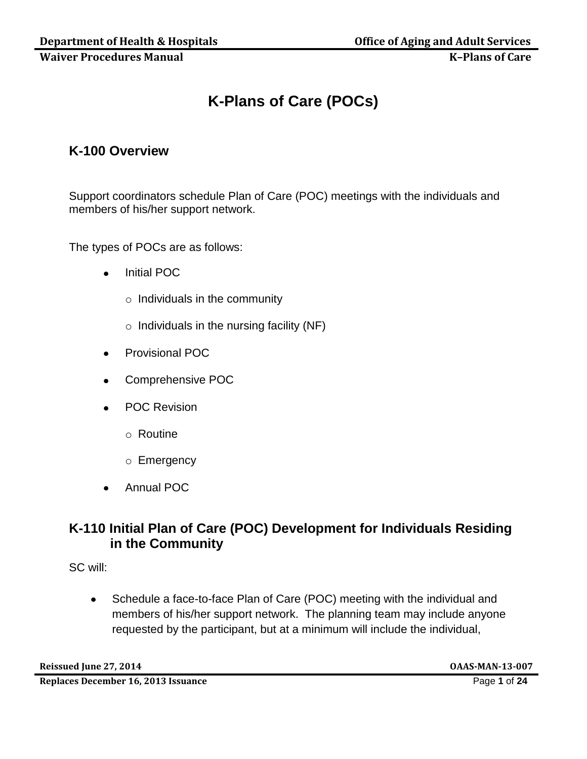# **K-Plans of Care (POCs)**

## **K-100 Overview**

Support coordinators schedule Plan of Care (POC) meetings with the individuals and members of his/her support network.

The types of POCs are as follows:

- Initial POC  $\bullet$ 
	- $\circ$  Individuals in the community
	- $\circ$  Individuals in the nursing facility (NF)
- Provisional POC
- Comprehensive POC  $\bullet$
- POC Revision
	- o Routine
	- o Emergency
- Annual POC

## **K-110 Initial Plan of Care (POC) Development for Individuals Residing in the Community**

SC will:

Schedule a face-to-face Plan of Care (POC) meeting with the individual and  $\bullet$ members of his/her support network. The planning team may include anyone requested by the participant, but at a minimum will include the individual,

**Reissued June 27, 2014 OAAS-MAN-13-007**

**Replaces December 16, 2013 Issuance** Page **1** of **24**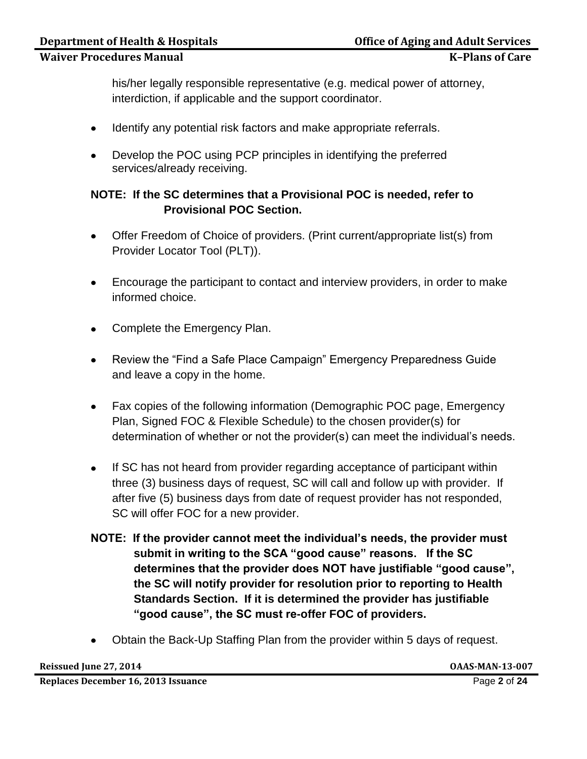his/her legally responsible representative (e.g. medical power of attorney, interdiction, if applicable and the support coordinator.

- Identify any potential risk factors and make appropriate referrals.
- Develop the POC using PCP principles in identifying the preferred services/already receiving.

## **NOTE: If the SC determines that a Provisional POC is needed, refer to Provisional POC Section.**

- Offer Freedom of Choice of providers. (Print current/appropriate list(s) from Provider Locator Tool (PLT)).
- Encourage the participant to contact and interview providers, in order to make  $\bullet$ informed choice.
- Complete the Emergency Plan.
- Review the "Find a Safe Place Campaign" Emergency Preparedness Guide and leave a copy in the home.
- Fax copies of the following information (Demographic POC page, Emergency Plan, Signed FOC & Flexible Schedule) to the chosen provider(s) for determination of whether or not the provider(s) can meet the individual's needs.
- If SC has not heard from provider regarding acceptance of participant within three (3) business days of request, SC will call and follow up with provider. If after five (5) business days from date of request provider has not responded, SC will offer FOC for a new provider.
- **NOTE: If the provider cannot meet the individual's needs, the provider must submit in writing to the SCA "good cause" reasons. If the SC determines that the provider does NOT have justifiable "good cause", the SC will notify provider for resolution prior to reporting to Health Standards Section. If it is determined the provider has justifiable "good cause", the SC must re-offer FOC of providers.**
- Obtain the Back-Up Staffing Plan from the provider within 5 days of request.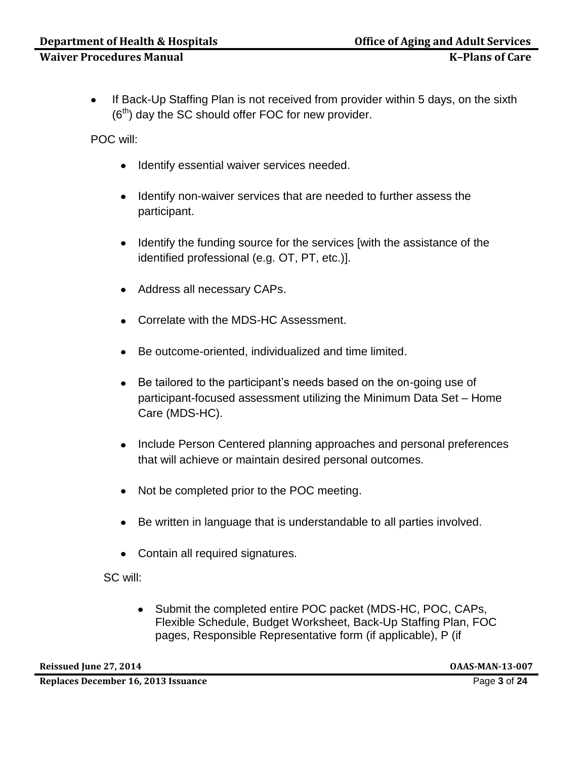$\bullet$ If Back-Up Staffing Plan is not received from provider within 5 days, on the sixth  $(6<sup>th</sup>)$  day the SC should offer FOC for new provider.

POC will:

- Identify essential waiver services needed.
- Identify non-waiver services that are needed to further assess the participant.
- Identify the funding source for the services [with the assistance of the identified professional (e.g. OT, PT, etc.)].
- Address all necessary CAPs.
- Correlate with the MDS-HC Assessment.
- Be outcome-oriented, individualized and time limited.
- Be tailored to the participant's needs based on the on-going use of  $\bullet$ participant-focused assessment utilizing the Minimum Data Set – Home Care (MDS-HC).
- Include Person Centered planning approaches and personal preferences that will achieve or maintain desired personal outcomes.
- Not be completed prior to the POC meeting.
- Be written in language that is understandable to all parties involved.
- Contain all required signatures.

SC will:

Submit the completed entire POC packet (MDS-HC, POC, CAPs,  $\bullet$ Flexible Schedule, Budget Worksheet, Back-Up Staffing Plan, FOC pages, Responsible Representative form (if applicable), P (if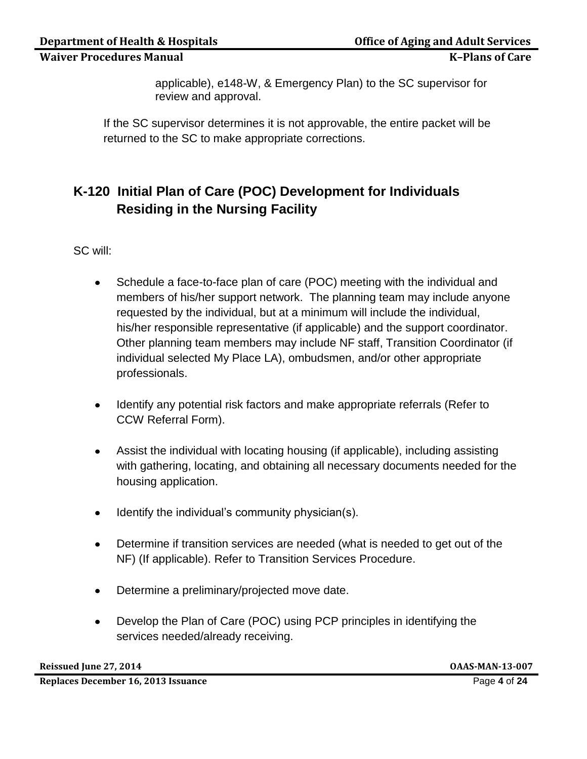applicable), e148-W, & Emergency Plan) to the SC supervisor for review and approval.

If the SC supervisor determines it is not approvable, the entire packet will be returned to the SC to make appropriate corrections.

# **K-120 Initial Plan of Care (POC) Development for Individuals Residing in the Nursing Facility**

SC will:

- Schedule a face-to-face plan of care (POC) meeting with the individual and  $\bullet$ members of his/her support network. The planning team may include anyone requested by the individual, but at a minimum will include the individual, his/her responsible representative (if applicable) and the support coordinator. Other planning team members may include NF staff, Transition Coordinator (if individual selected My Place LA), ombudsmen, and/or other appropriate professionals.
- Identify any potential risk factors and make appropriate referrals (Refer to  $\bullet$ CCW Referral Form).
- Assist the individual with locating housing (if applicable), including assisting  $\bullet$ with gathering, locating, and obtaining all necessary documents needed for the housing application.
- Identify the individual's community physician(s).  $\bullet$
- Determine if transition services are needed (what is needed to get out of the  $\bullet$ NF) (If applicable). Refer to Transition Services Procedure.
- Determine a preliminary/projected move date.  $\bullet$
- Develop the Plan of Care (POC) using PCP principles in identifying the  $\bullet$ services needed/already receiving.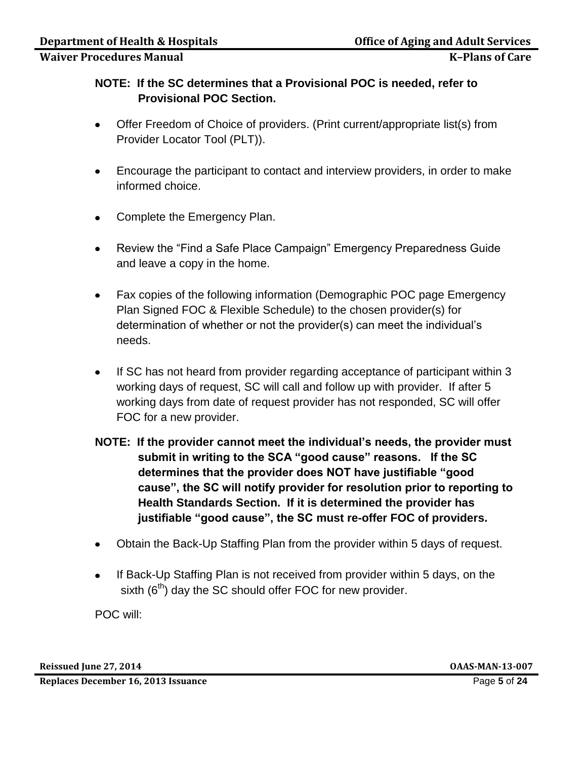## **NOTE: If the SC determines that a Provisional POC is needed, refer to Provisional POC Section.**

- Offer Freedom of Choice of providers. (Print current/appropriate list(s) from  $\bullet$ Provider Locator Tool (PLT)).
- Encourage the participant to contact and interview providers, in order to make  $\bullet$ informed choice.
- Complete the Emergency Plan.  $\bullet$
- Review the "Find a Safe Place Campaign" Emergency Preparedness Guide  $\bullet$ and leave a copy in the home.
- Fax copies of the following information (Demographic POC page Emergency  $\bullet$ Plan Signed FOC & Flexible Schedule) to the chosen provider(s) for determination of whether or not the provider(s) can meet the individual's needs.
- If SC has not heard from provider regarding acceptance of participant within 3  $\bullet$ working days of request, SC will call and follow up with provider. If after 5 working days from date of request provider has not responded, SC will offer FOC for a new provider.
- **NOTE: If the provider cannot meet the individual's needs, the provider must submit in writing to the SCA "good cause" reasons. If the SC determines that the provider does NOT have justifiable "good cause", the SC will notify provider for resolution prior to reporting to Health Standards Section. If it is determined the provider has justifiable "good cause", the SC must re-offer FOC of providers.**
- Obtain the Back-Up Staffing Plan from the provider within 5 days of request.  $\bullet$
- $\bullet$ If Back-Up Staffing Plan is not received from provider within 5 days, on the sixth  $(6<sup>th</sup>)$  day the SC should offer FOC for new provider.

POC will:

**Reissued June 27, 2014 OAAS-MAN-13-007**

**Replaces December 16, 2013 Issuance** Page **5** of **24**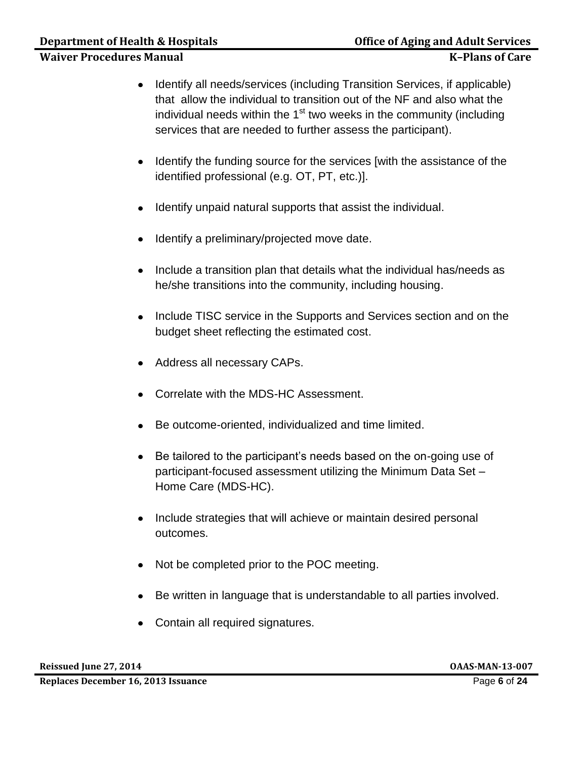- Identify all needs/services (including Transition Services, if applicable) that allow the individual to transition out of the NF and also what the individual needs within the 1<sup>st</sup> two weeks in the community (including services that are needed to further assess the participant).
- Identify the funding source for the services [with the assistance of the  $\bullet$ identified professional (e.g. OT, PT, etc.)].
- Identify unpaid natural supports that assist the individual.  $\bullet$
- Identify a preliminary/projected move date.  $\bullet$
- Include a transition plan that details what the individual has/needs as he/she transitions into the community, including housing.
- Include TISC service in the Supports and Services section and on the budget sheet reflecting the estimated cost.
- Address all necessary CAPs.
- Correlate with the MDS-HC Assessment.
- Be outcome-oriented, individualized and time limited.
- Be tailored to the participant's needs based on the on-going use of  $\bullet$ participant-focused assessment utilizing the Minimum Data Set – Home Care (MDS-HC).
- Include strategies that will achieve or maintain desired personal outcomes.
- Not be completed prior to the POC meeting.
- Be written in language that is understandable to all parties involved.
- Contain all required signatures.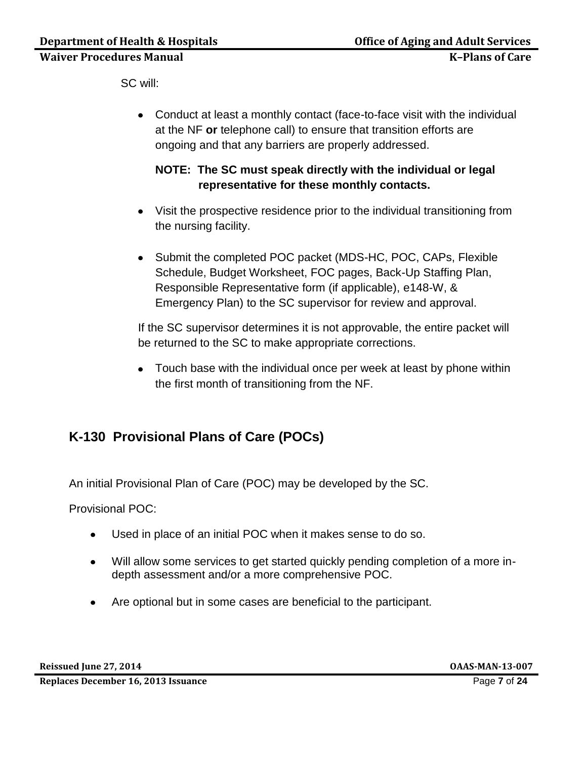SC will:

Conduct at least a monthly contact (face-to-face visit with the individual at the NF **or** telephone call) to ensure that transition efforts are ongoing and that any barriers are properly addressed.

## **NOTE: The SC must speak directly with the individual or legal representative for these monthly contacts.**

- Visit the prospective residence prior to the individual transitioning from the nursing facility.
- Submit the completed POC packet (MDS-HC, POC, CAPs, Flexible Schedule, Budget Worksheet, FOC pages, Back-Up Staffing Plan, Responsible Representative form (if applicable), e148-W, & Emergency Plan) to the SC supervisor for review and approval.

If the SC supervisor determines it is not approvable, the entire packet will be returned to the SC to make appropriate corrections.

• Touch base with the individual once per week at least by phone within the first month of transitioning from the NF.

# **K-130 Provisional Plans of Care (POCs)**

An initial Provisional Plan of Care (POC) may be developed by the SC.

Provisional POC:

- Used in place of an initial POC when it makes sense to do so.  $\bullet$
- Will allow some services to get started quickly pending completion of a more in- $\bullet$ depth assessment and/or a more comprehensive POC.
- Are optional but in some cases are beneficial to the participant.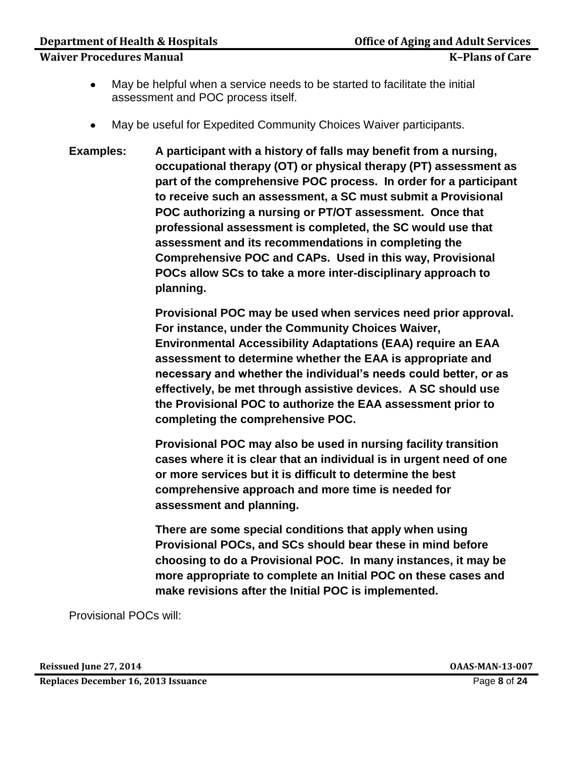#### **Department of Health & Hospitals Community Community Community Community Property Community Community Property**

- May be helpful when a service needs to be started to facilitate the initial  $\bullet$ assessment and POC process itself.
- May be useful for Expedited Community Choices Waiver participants.
- **Examples: A participant with a history of falls may benefit from a nursing, occupational therapy (OT) or physical therapy (PT) assessment as part of the comprehensive POC process. In order for a participant to receive such an assessment, a SC must submit a Provisional POC authorizing a nursing or PT/OT assessment. Once that professional assessment is completed, the SC would use that assessment and its recommendations in completing the Comprehensive POC and CAPs. Used in this way, Provisional POCs allow SCs to take a more inter-disciplinary approach to planning.**

**Provisional POC may be used when services need prior approval. For instance, under the Community Choices Waiver, Environmental Accessibility Adaptations (EAA) require an EAA assessment to determine whether the EAA is appropriate and necessary and whether the individual's needs could better, or as effectively, be met through assistive devices. A SC should use the Provisional POC to authorize the EAA assessment prior to completing the comprehensive POC.** 

**Provisional POC may also be used in nursing facility transition cases where it is clear that an individual is in urgent need of one or more services but it is difficult to determine the best comprehensive approach and more time is needed for assessment and planning.** 

**There are some special conditions that apply when using Provisional POCs, and SCs should bear these in mind before choosing to do a Provisional POC. In many instances, it may be more appropriate to complete an Initial POC on these cases and make revisions after the Initial POC is implemented.** 

Provisional POCs will:

**Reissued June 27, 2014 OAAS-MAN-13-007**

**Replaces December 16, 2013 Issuance** Page **8** of **24**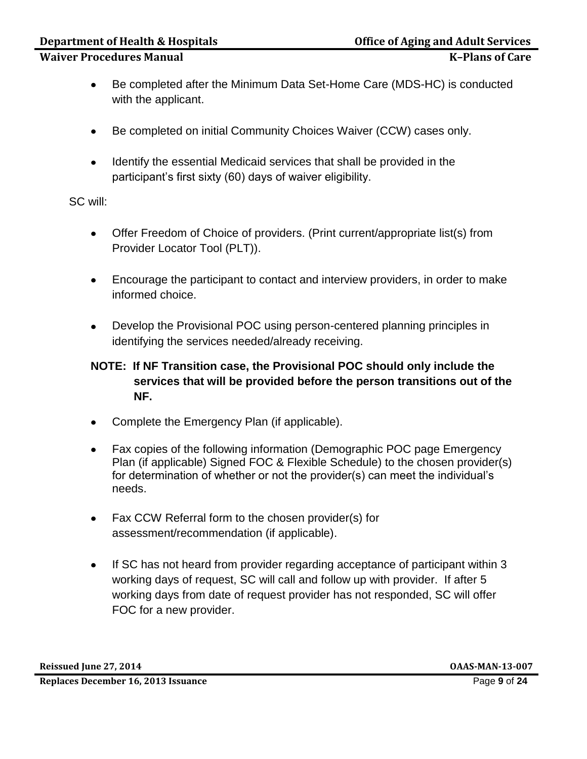- Be completed after the Minimum Data Set-Home Care (MDS-HC) is conducted  $\bullet$ with the applicant.
- Be completed on initial Community Choices Waiver (CCW) cases only.  $\bullet$
- $\bullet$ Identify the essential Medicaid services that shall be provided in the participant's first sixty (60) days of waiver eligibility.

SC will:

- Offer Freedom of Choice of providers. (Print current/appropriate list(s) from Provider Locator Tool (PLT)).
- Encourage the participant to contact and interview providers, in order to make  $\bullet$ informed choice.
- Develop the Provisional POC using person-centered planning principles in identifying the services needed/already receiving.

## **NOTE: If NF Transition case, the Provisional POC should only include the services that will be provided before the person transitions out of the NF.**

- Complete the Emergency Plan (if applicable).
- $\bullet$ Fax copies of the following information (Demographic POC page Emergency Plan (if applicable) Signed FOC & Flexible Schedule) to the chosen provider(s) for determination of whether or not the provider(s) can meet the individual's needs.
- Fax CCW Referral form to the chosen provider(s) for assessment/recommendation (if applicable).
- If SC has not heard from provider regarding acceptance of participant within 3  $\bullet$ working days of request, SC will call and follow up with provider. If after 5 working days from date of request provider has not responded, SC will offer FOC for a new provider.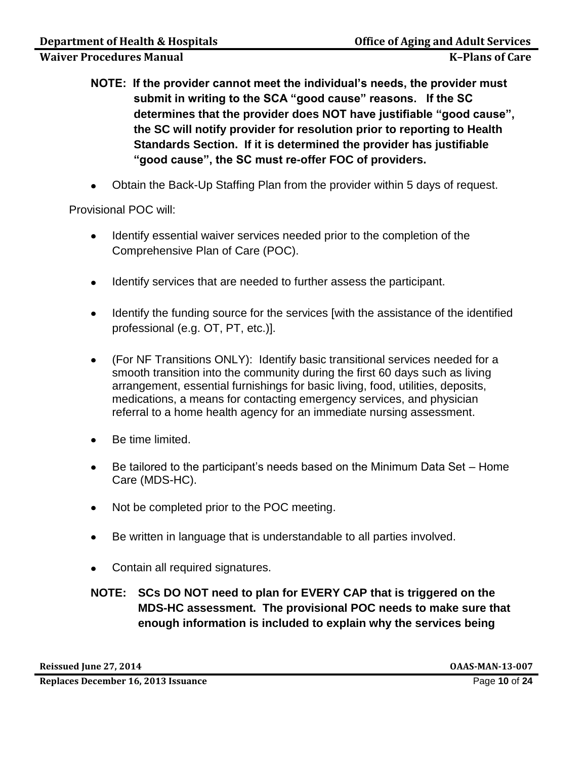- **NOTE: If the provider cannot meet the individual's needs, the provider must submit in writing to the SCA "good cause" reasons. If the SC determines that the provider does NOT have justifiable "good cause", the SC will notify provider for resolution prior to reporting to Health Standards Section. If it is determined the provider has justifiable "good cause", the SC must re-offer FOC of providers.**
- Obtain the Back-Up Staffing Plan from the provider within 5 days of request.

Provisional POC will:

- Identify essential waiver services needed prior to the completion of the Comprehensive Plan of Care (POC).
- Identify services that are needed to further assess the participant.  $\bullet$
- Identify the funding source for the services [with the assistance of the identified professional (e.g. OT, PT, etc.)].
- (For NF Transitions ONLY): Identify basic transitional services needed for a  $\bullet$ smooth transition into the community during the first 60 days such as living arrangement, essential furnishings for basic living, food, utilities, deposits, medications, a means for contacting emergency services, and physician referral to a home health agency for an immediate nursing assessment.
- Be time limited.
- Be tailored to the participant's needs based on the Minimum Data Set Home  $\bullet$ Care (MDS-HC).
- Not be completed prior to the POC meeting.
- Be written in language that is understandable to all parties involved.  $\bullet$
- Contain all required signatures.

## **NOTE: SCs DO NOT need to plan for EVERY CAP that is triggered on the MDS-HC assessment. The provisional POC needs to make sure that enough information is included to explain why the services being**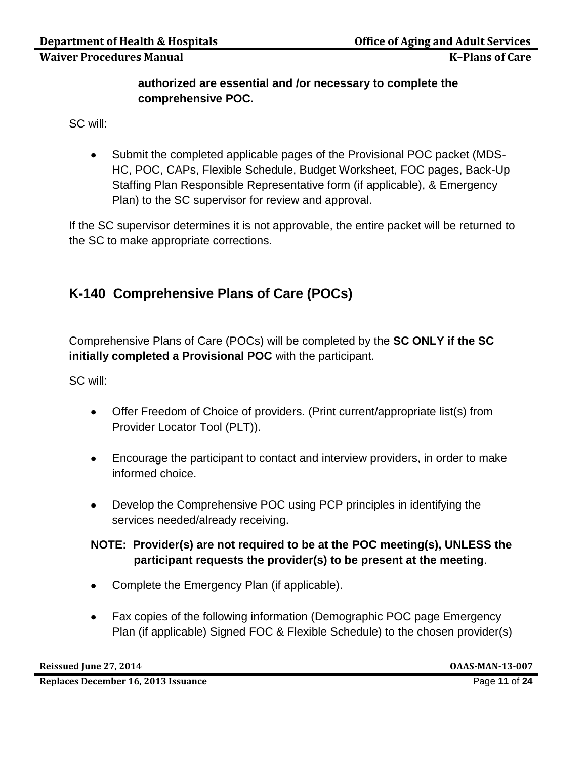## **authorized are essential and /or necessary to complete the comprehensive POC.**

SC will:

Submit the completed applicable pages of the Provisional POC packet (MDS- $\bullet$ HC, POC, CAPs, Flexible Schedule, Budget Worksheet, FOC pages, Back-Up Staffing Plan Responsible Representative form (if applicable), & Emergency Plan) to the SC supervisor for review and approval.

If the SC supervisor determines it is not approvable, the entire packet will be returned to the SC to make appropriate corrections.

# **K-140 Comprehensive Plans of Care (POCs)**

Comprehensive Plans of Care (POCs) will be completed by the **SC ONLY if the SC initially completed a Provisional POC** with the participant.

SC will:

- Offer Freedom of Choice of providers. (Print current/appropriate list(s) from Provider Locator Tool (PLT)).
- Encourage the participant to contact and interview providers, in order to make informed choice.
- Develop the Comprehensive POC using PCP principles in identifying the services needed/already receiving.

## **NOTE: Provider(s) are not required to be at the POC meeting(s), UNLESS the participant requests the provider(s) to be present at the meeting**.

- Complete the Emergency Plan (if applicable).
- Fax copies of the following information (Demographic POC page Emergency Plan (if applicable) Signed FOC & Flexible Schedule) to the chosen provider(s)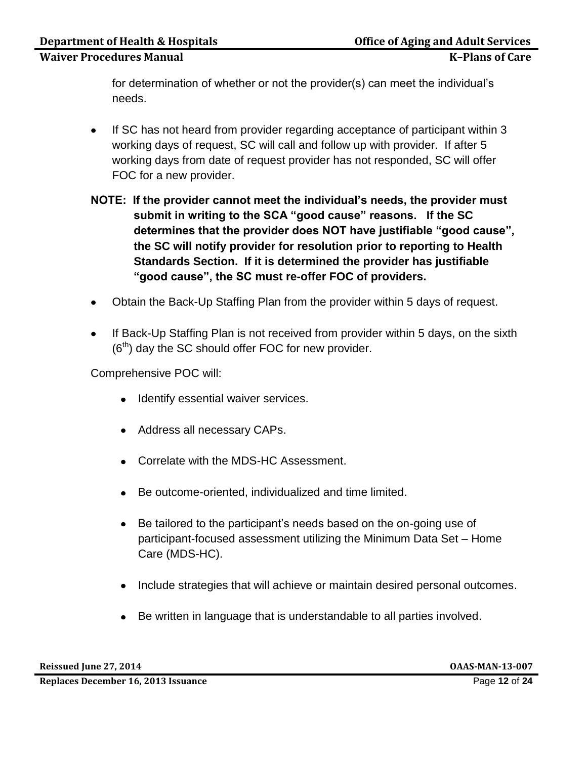for determination of whether or not the provider(s) can meet the individual's needs.

- If SC has not heard from provider regarding acceptance of participant within 3  $\bullet$ working days of request, SC will call and follow up with provider. If after 5 working days from date of request provider has not responded, SC will offer FOC for a new provider.
- **NOTE: If the provider cannot meet the individual's needs, the provider must submit in writing to the SCA "good cause" reasons. If the SC determines that the provider does NOT have justifiable "good cause", the SC will notify provider for resolution prior to reporting to Health Standards Section. If it is determined the provider has justifiable "good cause", the SC must re-offer FOC of providers.**
- Obtain the Back-Up Staffing Plan from the provider within 5 days of request.
- If Back-Up Staffing Plan is not received from provider within 5 days, on the sixth  $(6<sup>th</sup>)$  day the SC should offer FOC for new provider.

Comprehensive POC will:

- Identify essential waiver services.
- Address all necessary CAPs.
- Correlate with the MDS-HC Assessment.
- Be outcome-oriented, individualized and time limited.
- Be tailored to the participant's needs based on the on-going use of  $\bullet$ participant-focused assessment utilizing the Minimum Data Set – Home Care (MDS-HC).
- Include strategies that will achieve or maintain desired personal outcomes.
- Be written in language that is understandable to all parties involved.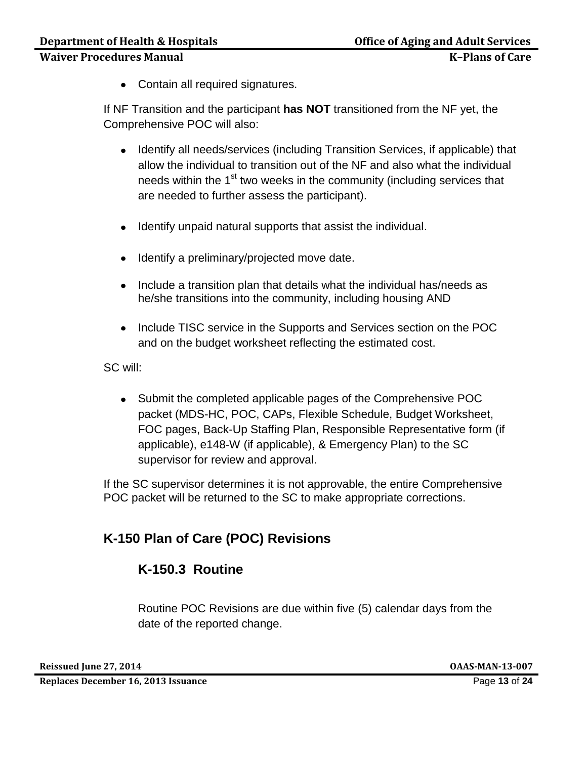Contain all required signatures.

If NF Transition and the participant **has NOT** transitioned from the NF yet, the Comprehensive POC will also:

- Identify all needs/services (including Transition Services, if applicable) that allow the individual to transition out of the NF and also what the individual needs within the 1<sup>st</sup> two weeks in the community (including services that are needed to further assess the participant).
- Identify unpaid natural supports that assist the individual.
- Identify a preliminary/projected move date.
- Include a transition plan that details what the individual has/needs as he/she transitions into the community, including housing AND
- Include TISC service in the Supports and Services section on the POC and on the budget worksheet reflecting the estimated cost.

SC will:

• Submit the completed applicable pages of the Comprehensive POC packet (MDS-HC, POC, CAPs, Flexible Schedule, Budget Worksheet, FOC pages, Back-Up Staffing Plan, Responsible Representative form (if applicable), e148-W (if applicable), & Emergency Plan) to the SC supervisor for review and approval.

If the SC supervisor determines it is not approvable, the entire Comprehensive POC packet will be returned to the SC to make appropriate corrections.

# **K-150 Plan of Care (POC) Revisions**

# **K-150.3 Routine**

Routine POC Revisions are due within five (5) calendar days from the date of the reported change.

**Reissued June 27, 2014 OAAS-MAN-13-007**

**Replaces December 16, 2013 Issuance** Page **13** of **24**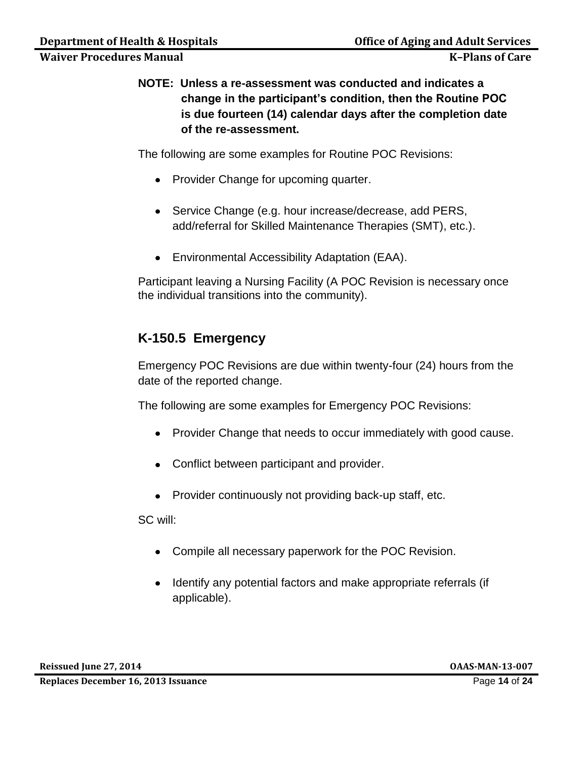**NOTE: Unless a re-assessment was conducted and indicates a change in the participant's condition, then the Routine POC is due fourteen (14) calendar days after the completion date of the re-assessment.**

The following are some examples for Routine POC Revisions:

- Provider Change for upcoming quarter.
- Service Change (e.g. hour increase/decrease, add PERS, add/referral for Skilled Maintenance Therapies (SMT), etc.).
- Environmental Accessibility Adaptation (EAA).

Participant leaving a Nursing Facility (A POC Revision is necessary once the individual transitions into the community).

## **K-150.5 Emergency**

Emergency POC Revisions are due within twenty-four (24) hours from the date of the reported change.

The following are some examples for Emergency POC Revisions:

- Provider Change that needs to occur immediately with good cause.
- Conflict between participant and provider.
- Provider continuously not providing back-up staff, etc.

SC will:

- Compile all necessary paperwork for the POC Revision.
- Identify any potential factors and make appropriate referrals (if applicable).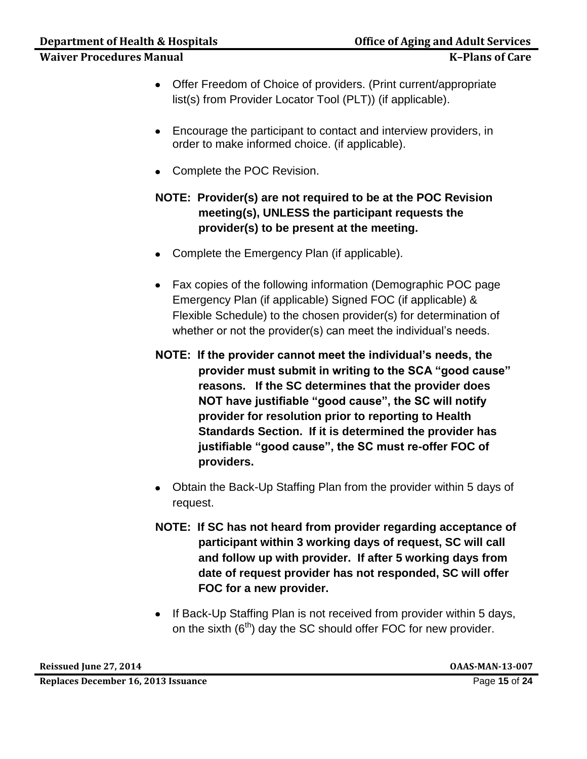- Offer Freedom of Choice of providers. (Print current/appropriate list(s) from Provider Locator Tool (PLT)) (if applicable).
- Encourage the participant to contact and interview providers, in order to make informed choice. (if applicable).
- Complete the POC Revision.

## **NOTE: Provider(s) are not required to be at the POC Revision meeting(s), UNLESS the participant requests the provider(s) to be present at the meeting.**

- Complete the Emergency Plan (if applicable).
- Fax copies of the following information (Demographic POC page Emergency Plan (if applicable) Signed FOC (if applicable) & Flexible Schedule) to the chosen provider(s) for determination of whether or not the provider(s) can meet the individual's needs.
- **NOTE: If the provider cannot meet the individual's needs, the provider must submit in writing to the SCA "good cause" reasons. If the SC determines that the provider does NOT have justifiable "good cause", the SC will notify provider for resolution prior to reporting to Health Standards Section. If it is determined the provider has justifiable "good cause", the SC must re-offer FOC of providers.**
- Obtain the Back-Up Staffing Plan from the provider within 5 days of request.
- **NOTE: If SC has not heard from provider regarding acceptance of participant within 3 working days of request, SC will call and follow up with provider. If after 5 working days from date of request provider has not responded, SC will offer FOC for a new provider.**
- If Back-Up Staffing Plan is not received from provider within 5 days, on the sixth  $(6<sup>th</sup>)$  day the SC should offer FOC for new provider.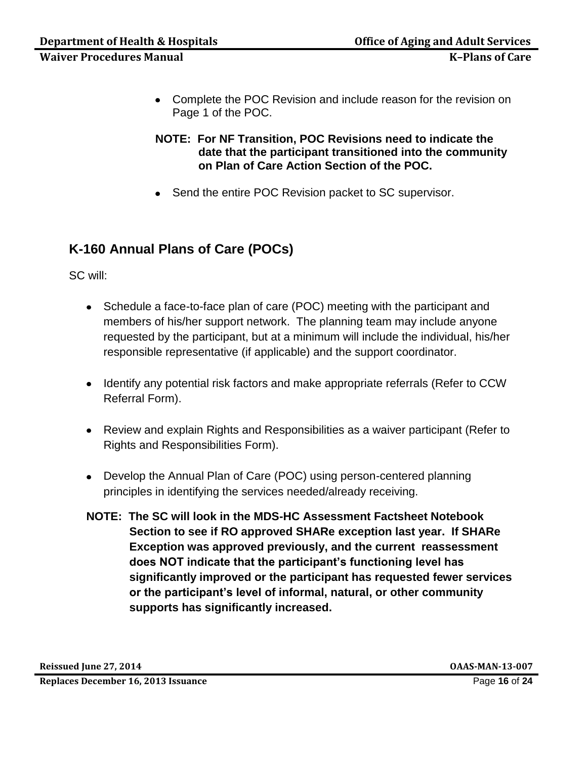Complete the POC Revision and include reason for the revision on Page 1 of the POC.

**NOTE: For NF Transition, POC Revisions need to indicate the date that the participant transitioned into the community on Plan of Care Action Section of the POC.** 

• Send the entire POC Revision packet to SC supervisor.

# **K-160 Annual Plans of Care (POCs)**

SC will:

- Schedule a face-to-face plan of care (POC) meeting with the participant and members of his/her support network. The planning team may include anyone requested by the participant, but at a minimum will include the individual, his/her responsible representative (if applicable) and the support coordinator.
- Identify any potential risk factors and make appropriate referrals (Refer to CCW Referral Form).
- Review and explain Rights and Responsibilities as a waiver participant (Refer to Rights and Responsibilities Form).
- Develop the Annual Plan of Care (POC) using person-centered planning principles in identifying the services needed/already receiving.
- **NOTE: The SC will look in the MDS-HC Assessment Factsheet Notebook Section to see if RO approved SHARe exception last year. If SHARe Exception was approved previously, and the current reassessment does NOT indicate that the participant's functioning level has significantly improved or the participant has requested fewer services or the participant's level of informal, natural, or other community supports has significantly increased.**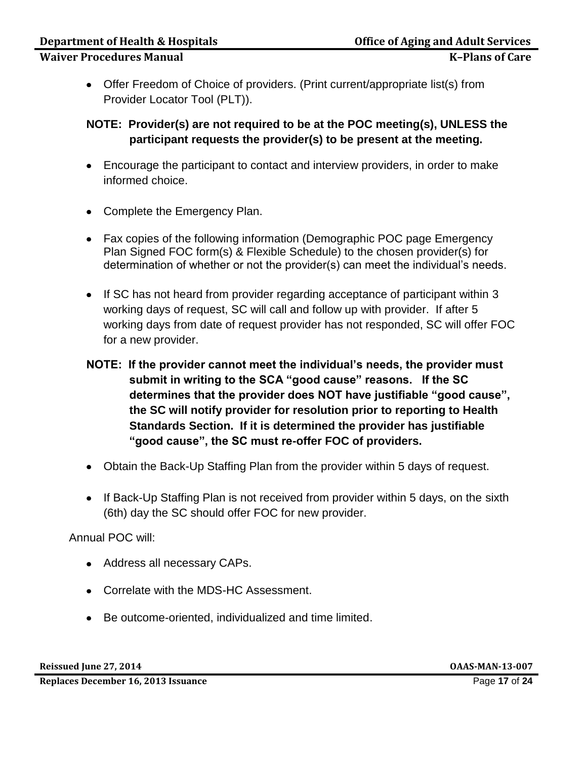Offer Freedom of Choice of providers. (Print current/appropriate list(s) from Provider Locator Tool (PLT)).

### **NOTE: Provider(s) are not required to be at the POC meeting(s), UNLESS the participant requests the provider(s) to be present at the meeting.**

- Encourage the participant to contact and interview providers, in order to make informed choice.
- Complete the Emergency Plan.
- Fax copies of the following information (Demographic POC page Emergency Plan Signed FOC form(s) & Flexible Schedule) to the chosen provider(s) for determination of whether or not the provider(s) can meet the individual's needs.
- If SC has not heard from provider regarding acceptance of participant within 3 working days of request, SC will call and follow up with provider. If after 5 working days from date of request provider has not responded, SC will offer FOC for a new provider.
- **NOTE: If the provider cannot meet the individual's needs, the provider must submit in writing to the SCA "good cause" reasons. If the SC determines that the provider does NOT have justifiable "good cause", the SC will notify provider for resolution prior to reporting to Health Standards Section. If it is determined the provider has justifiable "good cause", the SC must re-offer FOC of providers.**
- Obtain the Back-Up Staffing Plan from the provider within 5 days of request.
- If Back-Up Staffing Plan is not received from provider within 5 days, on the sixth (6th) day the SC should offer FOC for new provider.

Annual POC will:

- Address all necessary CAPs.
- Correlate with the MDS-HC Assessment.
- Be outcome-oriented, individualized and time limited.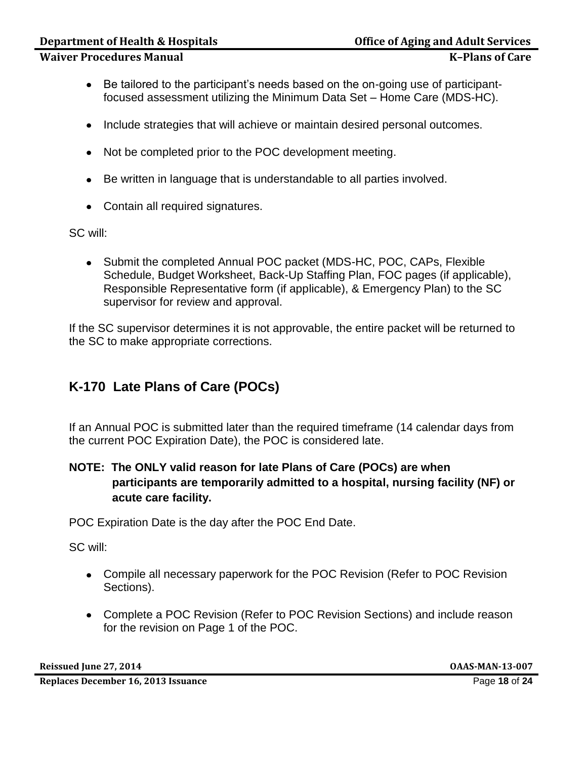- Be tailored to the participant's needs based on the on-going use of participantfocused assessment utilizing the Minimum Data Set – Home Care (MDS-HC).
- Include strategies that will achieve or maintain desired personal outcomes.
- Not be completed prior to the POC development meeting.
- Be written in language that is understandable to all parties involved.
- Contain all required signatures.

SC will:

• Submit the completed Annual POC packet (MDS-HC, POC, CAPs, Flexible Schedule, Budget Worksheet, Back-Up Staffing Plan, FOC pages (if applicable), Responsible Representative form (if applicable), & Emergency Plan) to the SC supervisor for review and approval.

If the SC supervisor determines it is not approvable, the entire packet will be returned to the SC to make appropriate corrections.

## **K-170 Late Plans of Care (POCs)**

If an Annual POC is submitted later than the required timeframe (14 calendar days from the current POC Expiration Date), the POC is considered late.

## **NOTE: The ONLY valid reason for late Plans of Care (POCs) are when participants are temporarily admitted to a hospital, nursing facility (NF) or acute care facility.**

POC Expiration Date is the day after the POC End Date.

SC will:

- Compile all necessary paperwork for the POC Revision (Refer to POC Revision Sections).
- Complete a POC Revision (Refer to POC Revision Sections) and include reason for the revision on Page 1 of the POC.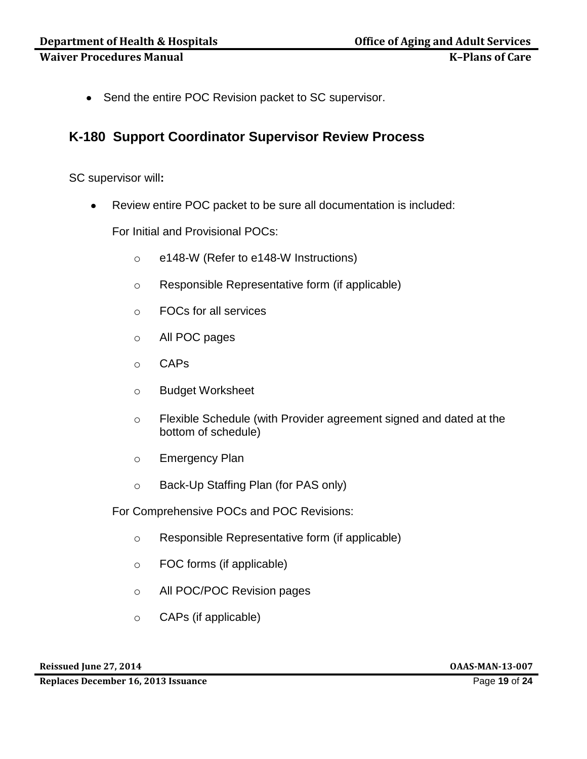• Send the entire POC Revision packet to SC supervisor.

## **K-180 Support Coordinator Supervisor Review Process**

SC supervisor will**:**

Review entire POC packet to be sure all documentation is included:

For Initial and Provisional POCs:

- o e148-W (Refer to e148-W Instructions)
- o Responsible Representative form (if applicable)
- o FOCs for all services
- o All POC pages
- o CAPs
- o Budget Worksheet
- o Flexible Schedule (with Provider agreement signed and dated at the bottom of schedule)
- o Emergency Plan
- o Back-Up Staffing Plan (for PAS only)

For Comprehensive POCs and POC Revisions:

- o Responsible Representative form (if applicable)
- o FOC forms (if applicable)
- o All POC/POC Revision pages
- o CAPs (if applicable)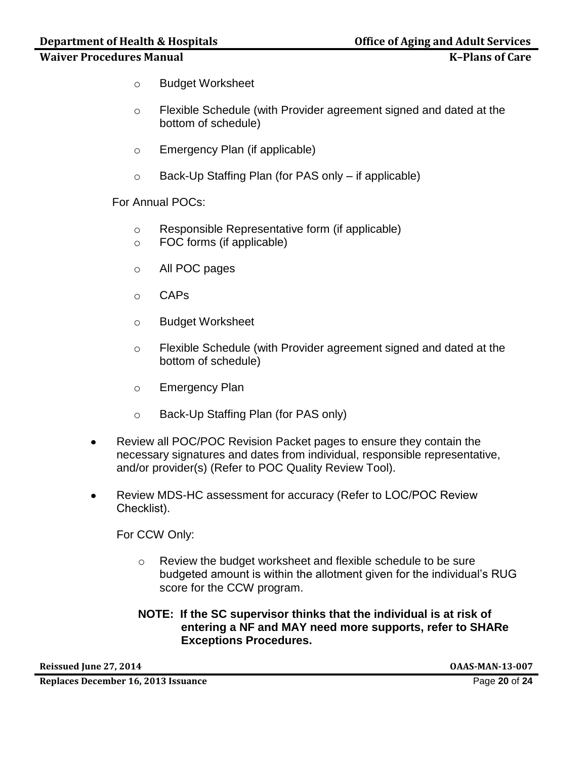## **Department of Health & Hospitals Community Community Community Community Property Community Community Property**

#### **Waiver Procedures Manual K–Plans of Care**

- o Budget Worksheet
- o Flexible Schedule (with Provider agreement signed and dated at the bottom of schedule)
- o Emergency Plan (if applicable)
- o Back-Up Staffing Plan (for PAS only if applicable)

For Annual POCs:

- o Responsible Representative form (if applicable)
- o FOC forms (if applicable)
- o All POC pages
- o CAPs
- o Budget Worksheet
- o Flexible Schedule (with Provider agreement signed and dated at the bottom of schedule)
- o Emergency Plan
- o Back-Up Staffing Plan (for PAS only)
- Review all POC/POC Revision Packet pages to ensure they contain the necessary signatures and dates from individual, responsible representative, and/or provider(s) (Refer to POC Quality Review Tool).
- Review MDS-HC assessment for accuracy (Refer to LOC/POC Review  $\bullet$ Checklist).

For CCW Only:

- o Review the budget worksheet and flexible schedule to be sure budgeted amount is within the allotment given for the individual's RUG score for the CCW program.
- **NOTE: If the SC supervisor thinks that the individual is at risk of entering a NF and MAY need more supports, refer to SHARe Exceptions Procedures.**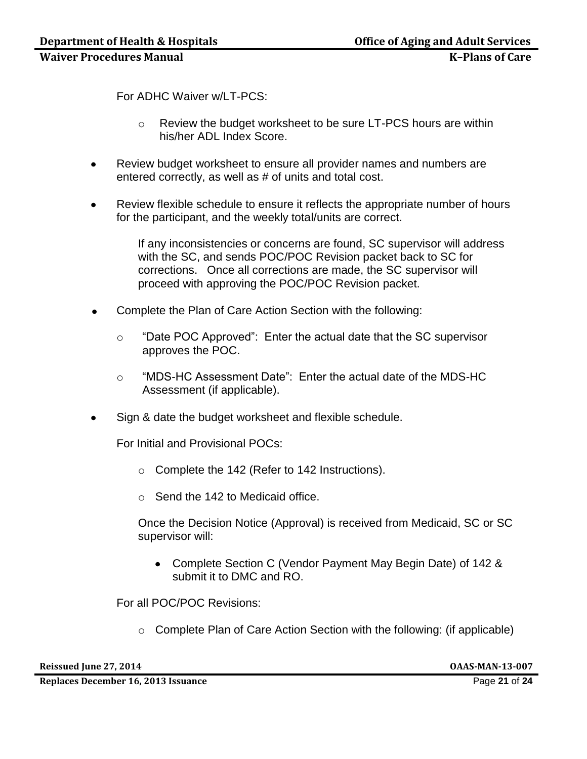For ADHC Waiver w/LT-PCS:

- o Review the budget worksheet to be sure LT-PCS hours are within his/her ADL Index Score.
- Review budget worksheet to ensure all provider names and numbers are entered correctly, as well as # of units and total cost.
- Review flexible schedule to ensure it reflects the appropriate number of hours for the participant, and the weekly total/units are correct.

If any inconsistencies or concerns are found, SC supervisor will address with the SC, and sends POC/POC Revision packet back to SC for corrections. Once all corrections are made, the SC supervisor will proceed with approving the POC/POC Revision packet.

- Complete the Plan of Care Action Section with the following:
	- o "Date POC Approved": Enter the actual date that the SC supervisor approves the POC.
	- o "MDS-HC Assessment Date": Enter the actual date of the MDS-HC Assessment (if applicable).
- Sign & date the budget worksheet and flexible schedule.

For Initial and Provisional POCs:

- o Complete the 142 (Refer to 142 Instructions).
- o Send the 142 to Medicaid office.

Once the Decision Notice (Approval) is received from Medicaid, SC or SC supervisor will:

Complete Section C (Vendor Payment May Begin Date) of 142 & submit it to DMC and RO.

For all POC/POC Revisions:

o Complete Plan of Care Action Section with the following: (if applicable)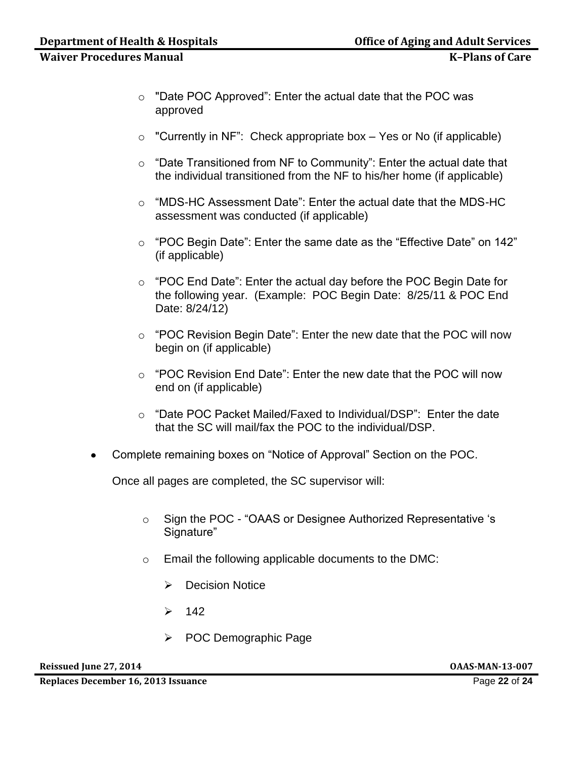- o "Date POC Approved": Enter the actual date that the POC was approved
- $\circ$  "Currently in NF": Check appropriate box Yes or No (if applicable)
- o "Date Transitioned from NF to Community": Enter the actual date that the individual transitioned from the NF to his/her home (if applicable)
- o "MDS-HC Assessment Date": Enter the actual date that the MDS-HC assessment was conducted (if applicable)
- o "POC Begin Date": Enter the same date as the "Effective Date" on 142" (if applicable)
- o "POC End Date": Enter the actual day before the POC Begin Date for the following year. (Example: POC Begin Date: 8/25/11 & POC End Date: 8/24/12)
- o "POC Revision Begin Date": Enter the new date that the POC will now begin on (if applicable)
- o "POC Revision End Date": Enter the new date that the POC will now end on (if applicable)
- o "Date POC Packet Mailed/Faxed to Individual/DSP": Enter the date that the SC will mail/fax the POC to the individual/DSP.
- Complete remaining boxes on "Notice of Approval" Section on the POC.

Once all pages are completed, the SC supervisor will:

- o Sign the POC "OAAS or Designee Authorized Representative 's Signature"
- o Email the following applicable documents to the DMC:
	- ▶ Decision Notice
	- $\geq 142$
	- POC Demographic Page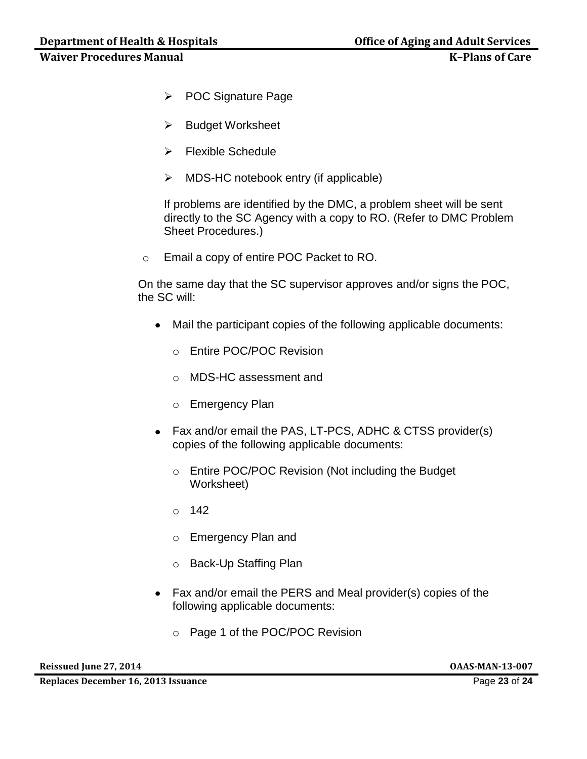- POC Signature Page
- $\triangleright$  Budget Worksheet
- $\triangleright$  Flexible Schedule
- $\triangleright$  MDS-HC notebook entry (if applicable)

If problems are identified by the DMC, a problem sheet will be sent directly to the SC Agency with a copy to RO. (Refer to DMC Problem Sheet Procedures.)

o Email a copy of entire POC Packet to RO.

On the same day that the SC supervisor approves and/or signs the POC, the SC will:

- Mail the participant copies of the following applicable documents:
	- o Entire POC/POC Revision
	- o MDS-HC assessment and
	- o Emergency Plan
- Fax and/or email the PAS, LT-PCS, ADHC & CTSS provider(s) copies of the following applicable documents:
	- o Entire POC/POC Revision (Not including the Budget Worksheet)
	- o 142
	- o Emergency Plan and
	- o Back-Up Staffing Plan
- Fax and/or email the PERS and Meal provider(s) copies of the following applicable documents:
	- o Page 1 of the POC/POC Revision